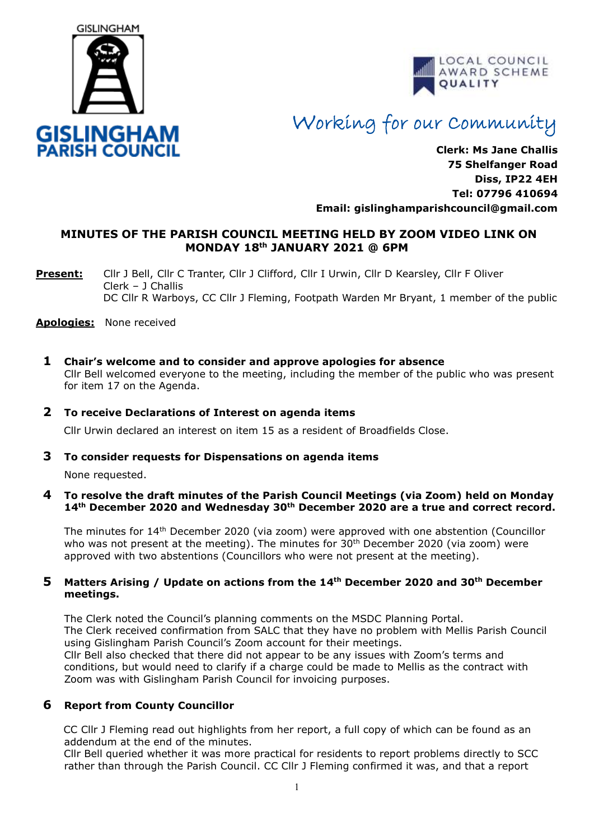



# Working for our Community

**Clerk: Ms Jane Challis 75 Shelfanger Road Diss, IP22 4EH Tel: 07796 410694 Email: [gislinghamparishcouncil@gmail.com](mailto:gislinghamparishcouncil@gmail.com)**

# **MINUTES OF THE PARISH COUNCIL MEETING HELD BY ZOOM VIDEO LINK ON MONDAY 18 th JANUARY 2021 @ 6PM**

**Present:** Cllr J Bell, Cllr C Tranter, Cllr J Clifford, Cllr I Urwin, Cllr D Kearsley, Cllr F Oliver Clerk – J Challis DC Cllr R Warboys, CC Cllr J Fleming, Footpath Warden Mr Bryant, 1 member of the public

#### **Apologies:** None received

**1 Chair's welcome and to consider and approve apologies for absence**

Cllr Bell welcomed everyone to the meeting, including the member of the public who was present for item 17 on the Agenda.

# **2 To receive Declarations of Interest on agenda items**

Cllr Urwin declared an interest on item 15 as a resident of Broadfields Close.

#### **3 To consider requests for Dispensations on agenda items**

None requested.

#### **4 To resolve the draft minutes of the Parish Council Meetings (via Zoom) held on Monday 14th December 2020 and Wednesday 30th December 2020 are a true and correct record.**

The minutes for 14<sup>th</sup> December 2020 (via zoom) were approved with one abstention (Councillor who was not present at the meeting). The minutes for 30<sup>th</sup> December 2020 (via zoom) were approved with two abstentions (Councillors who were not present at the meeting).

## **5 Matters Arising / Update on actions from the 14th December 2020 and 30th December meetings.**

The Clerk noted the Council's planning comments on the MSDC Planning Portal. The Clerk received confirmation from SALC that they have no problem with Mellis Parish Council using Gislingham Parish Council's Zoom account for their meetings. Cllr Bell also checked that there did not appear to be any issues with Zoom's terms and

conditions, but would need to clarify if a charge could be made to Mellis as the contract with Zoom was with Gislingham Parish Council for invoicing purposes.

# **6 Report from County Councillor**

CC Cllr J Fleming read out highlights from her report, a full copy of which can be found as an addendum at the end of the minutes.

 Cllr Bell queried whether it was more practical for residents to report problems directly to SCC rather than through the Parish Council. CC Cllr J Fleming confirmed it was, and that a report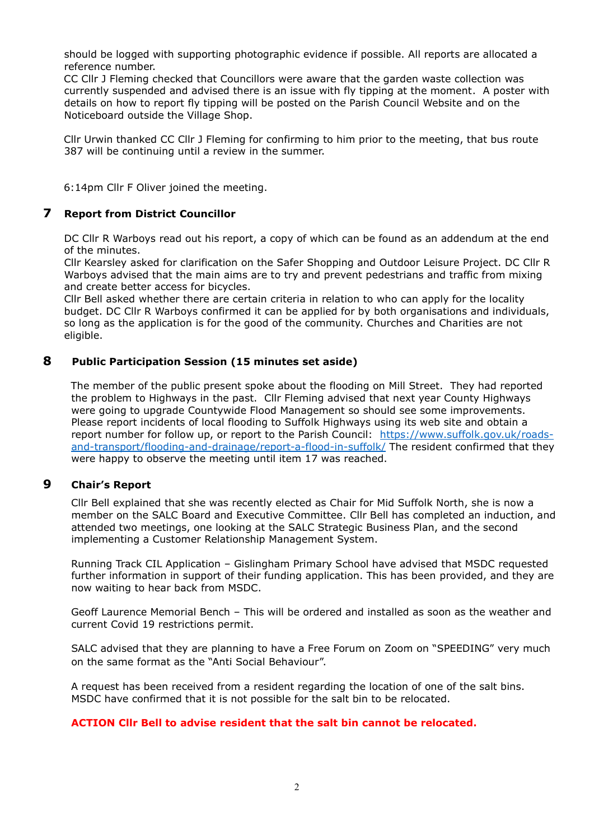should be logged with supporting photographic evidence if possible. All reports are allocated a reference number.

 CC Cllr J Fleming checked that Councillors were aware that the garden waste collection was currently suspended and advised there is an issue with fly tipping at the moment. A poster with details on how to report fly tipping will be posted on the Parish Council Website and on the Noticeboard outside the Village Shop.

 Cllr Urwin thanked CC Cllr J Fleming for confirming to him prior to the meeting, that bus route 387 will be continuing until a review in the summer.

6:14pm Cllr F Oliver joined the meeting.

# **7 Report from District Councillor**

DC Cllr R Warboys read out his report, a copy of which can be found as an addendum at the end of the minutes.

Cllr Kearsley asked for clarification on the Safer Shopping and Outdoor Leisure Project. DC Cllr R Warboys advised that the main aims are to try and prevent pedestrians and traffic from mixing and create better access for bicycles.

Cllr Bell asked whether there are certain criteria in relation to who can apply for the locality budget. DC Cllr R Warboys confirmed it can be applied for by both organisations and individuals, so long as the application is for the good of the community. Churches and Charities are not eligible.

# **8 Public Participation Session (15 minutes set aside)**

 The member of the public present spoke about the flooding on Mill Street. They had reported the problem to Highways in the past. Cllr Fleming advised that next year County Highways were going to upgrade Countywide Flood Management so should see some improvements. Please report incidents of local flooding to Suffolk Highways using its web site and obtain a report number for follow up, or report to the Parish Council: [https://www.suffolk.gov.uk/roads](https://www.suffolk.gov.uk/roads-and-transport/flooding-and-drainage/report-a-flood-in-suffolk/)[and-transport/flooding-and-drainage/report-a-flood-in-suffolk/](https://www.suffolk.gov.uk/roads-and-transport/flooding-and-drainage/report-a-flood-in-suffolk/) The resident confirmed that they were happy to observe the meeting until item 17 was reached.

# **9 Chair's Report**

 Cllr Bell explained that she was recently elected as Chair for Mid Suffolk North, she is now a member on the SALC Board and Executive Committee. Cllr Bell has completed an induction, and attended two meetings, one looking at the SALC Strategic Business Plan, and the second implementing a Customer Relationship Management System.

 Running Track CIL Application – Gislingham Primary School have advised that MSDC requested further information in support of their funding application. This has been provided, and they are now waiting to hear back from MSDC.

 Geoff Laurence Memorial Bench – This will be ordered and installed as soon as the weather and current Covid 19 restrictions permit.

SALC advised that they are planning to have a Free Forum on Zoom on "SPEEDING" very much on the same format as the "Anti Social Behaviour".

 A request has been received from a resident regarding the location of one of the salt bins. MSDC have confirmed that it is not possible for the salt bin to be relocated.

#### **ACTION Cllr Bell to advise resident that the salt bin cannot be relocated.**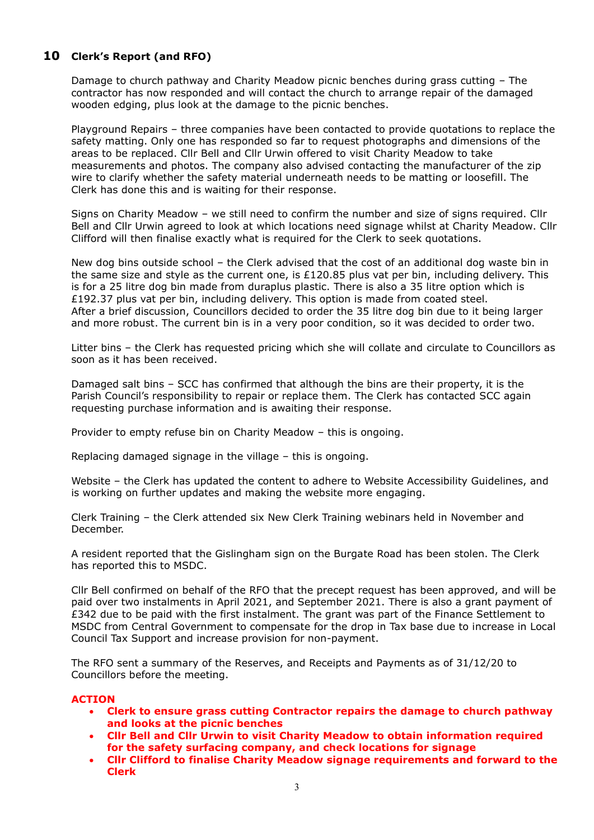# **10 Clerk's Report (and RFO)**

Damage to church pathway and Charity Meadow picnic benches during grass cutting – The contractor has now responded and will contact the church to arrange repair of the damaged wooden edging, plus look at the damage to the picnic benches.

Playground Repairs – three companies have been contacted to provide quotations to replace the safety matting. Only one has responded so far to request photographs and dimensions of the areas to be replaced. Cllr Bell and Cllr Urwin offered to visit Charity Meadow to take measurements and photos. The company also advised contacting the manufacturer of the zip wire to clarify whether the safety material underneath needs to be matting or loosefill. The Clerk has done this and is waiting for their response.

Signs on Charity Meadow – we still need to confirm the number and size of signs required. Cllr Bell and Cllr Urwin agreed to look at which locations need signage whilst at Charity Meadow. Cllr Clifford will then finalise exactly what is required for the Clerk to seek quotations.

New dog bins outside school – the Clerk advised that the cost of an additional dog waste bin in the same size and style as the current one, is  $£120.85$  plus vat per bin, including delivery. This is for a 25 litre dog bin made from duraplus plastic. There is also a 35 litre option which is £192.37 plus vat per bin, including delivery. This option is made from coated steel. After a brief discussion, Councillors decided to order the 35 litre dog bin due to it being larger and more robust. The current bin is in a very poor condition, so it was decided to order two.

Litter bins – the Clerk has requested pricing which she will collate and circulate to Councillors as soon as it has been received.

Damaged salt bins – SCC has confirmed that although the bins are their property, it is the Parish Council's responsibility to repair or replace them. The Clerk has contacted SCC again requesting purchase information and is awaiting their response.

Provider to empty refuse bin on Charity Meadow – this is ongoing.

Replacing damaged signage in the village – this is ongoing.

Website – the Clerk has updated the content to adhere to Website Accessibility Guidelines, and is working on further updates and making the website more engaging.

Clerk Training – the Clerk attended six New Clerk Training webinars held in November and December.

A resident reported that the Gislingham sign on the Burgate Road has been stolen. The Clerk has reported this to MSDC.

Cllr Bell confirmed on behalf of the RFO that the precept request has been approved, and will be paid over two instalments in April 2021, and September 2021. There is also a grant payment of £342 due to be paid with the first instalment. The grant was part of the Finance Settlement to MSDC from Central Government to compensate for the drop in Tax base due to increase in Local Council Tax Support and increase provision for non-payment.

The RFO sent a summary of the Reserves, and Receipts and Payments as of 31/12/20 to Councillors before the meeting.

#### **ACTION**

- **Clerk to ensure grass cutting Contractor repairs the damage to church pathway and looks at the picnic benches**
- **Cllr Bell and Cllr Urwin to visit Charity Meadow to obtain information required for the safety surfacing company, and check locations for signage**
- **Cllr Clifford to finalise Charity Meadow signage requirements and forward to the Clerk**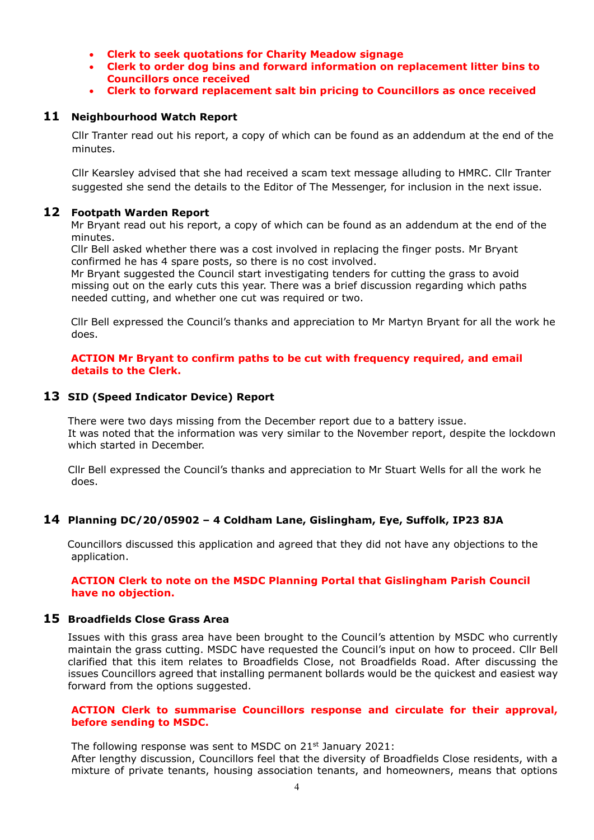- **Clerk to seek quotations for Charity Meadow signage**
- **Clerk to order dog bins and forward information on replacement litter bins to Councillors once received**
- **Clerk to forward replacement salt bin pricing to Councillors as once received**

## **11 Neighbourhood Watch Report**

Cllr Tranter read out his report, a copy of which can be found as an addendum at the end of the minutes.

Cllr Kearsley advised that she had received a scam text message alluding to HMRC. Cllr Tranter suggested she send the details to the Editor of The Messenger, for inclusion in the next issue.

#### **12 Footpath Warden Report**

 Mr Bryant read out his report, a copy of which can be found as an addendum at the end of the minutes.

 Cllr Bell asked whether there was a cost involved in replacing the finger posts. Mr Bryant confirmed he has 4 spare posts, so there is no cost involved.

 Mr Bryant suggested the Council start investigating tenders for cutting the grass to avoid missing out on the early cuts this year. There was a brief discussion regarding which paths needed cutting, and whether one cut was required or two.

 Cllr Bell expressed the Council's thanks and appreciation to Mr Martyn Bryant for all the work he does.

#### **ACTION Mr Bryant to confirm paths to be cut with frequency required, and email details to the Clerk.**

#### **13 SID (Speed Indicator Device) Report**

There were two days missing from the December report due to a battery issue. It was noted that the information was very similar to the November report, despite the lockdown which started in December.

Cllr Bell expressed the Council's thanks and appreciation to Mr Stuart Wells for all the work he does.

# **14 Planning DC/20/05902 – 4 Coldham Lane, Gislingham, Eye, Suffolk, IP23 8JA**

Councillors discussed this application and agreed that they did not have any objections to the application.

#### **ACTION Clerk to note on the MSDC Planning Portal that Gislingham Parish Council have no objection.**

#### **15 Broadfields Close Grass Area**

Issues with this grass area have been brought to the Council's attention by MSDC who currently maintain the grass cutting. MSDC have requested the Council's input on how to proceed. Cllr Bell clarified that this item relates to Broadfields Close, not Broadfields Road. After discussing the issues Councillors agreed that installing permanent bollards would be the quickest and easiest way forward from the options suggested.

#### **ACTION Clerk to summarise Councillors response and circulate for their approval, before sending to MSDC.**

The following response was sent to MSDC on 21<sup>st</sup> January 2021:

After lengthy discussion, Councillors feel that the diversity of Broadfields Close residents, with a mixture of private tenants, housing association tenants, and homeowners, means that options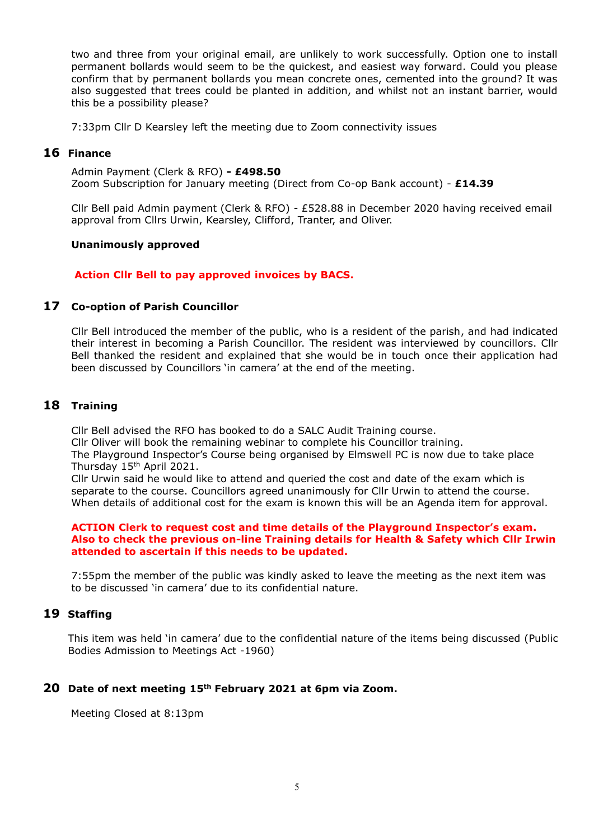two and three from your original email, are unlikely to work successfully. Option one to install permanent bollards would seem to be the quickest, and easiest way forward. Could you please confirm that by permanent bollards you mean concrete ones, cemented into the ground? It was also suggested that trees could be planted in addition, and whilst not an instant barrier, would this be a possibility please?

7:33pm Cllr D Kearsley left the meeting due to Zoom connectivity issues

# **16 Finance**

Admin Payment (Clerk & RFO) **- £498.50** Zoom Subscription for January meeting (Direct from Co-op Bank account) - **£14.39**

Cllr Bell paid Admin payment (Clerk & RFO) - £528.88 in December 2020 having received email approval from Cllrs Urwin, Kearsley, Clifford, Tranter, and Oliver.

## **Unanimously approved**

## **Action Cllr Bell to pay approved invoices by BACS.**

# **17 Co-option of Parish Councillor**

Cllr Bell introduced the member of the public, who is a resident of the parish, and had indicated their interest in becoming a Parish Councillor. The resident was interviewed by councillors. Cllr Bell thanked the resident and explained that she would be in touch once their application had been discussed by Councillors 'in camera' at the end of the meeting.

# **18 Training**

Cllr Bell advised the RFO has booked to do a SALC Audit Training course.

Cllr Oliver will book the remaining webinar to complete his Councillor training.

The Playground Inspector's Course being organised by Elmswell PC is now due to take place Thursday 15<sup>th</sup> April 2021.

Cllr Urwin said he would like to attend and queried the cost and date of the exam which is separate to the course. Councillors agreed unanimously for Cllr Urwin to attend the course. When details of additional cost for the exam is known this will be an Agenda item for approval.

#### **ACTION Clerk to request cost and time details of the Playground Inspector's exam. Also to check the previous on-line Training details for Health & Safety which Cllr Irwin attended to ascertain if this needs to be updated.**

7:55pm the member of the public was kindly asked to leave the meeting as the next item was to be discussed 'in camera' due to its confidential nature.

# **19 Staffing**

This item was held 'in camera' due to the confidential nature of the items being discussed (Public Bodies Admission to Meetings Act -1960)

# **20 Date of next meeting 15th February 2021 at 6pm via Zoom.**

Meeting Closed at 8:13pm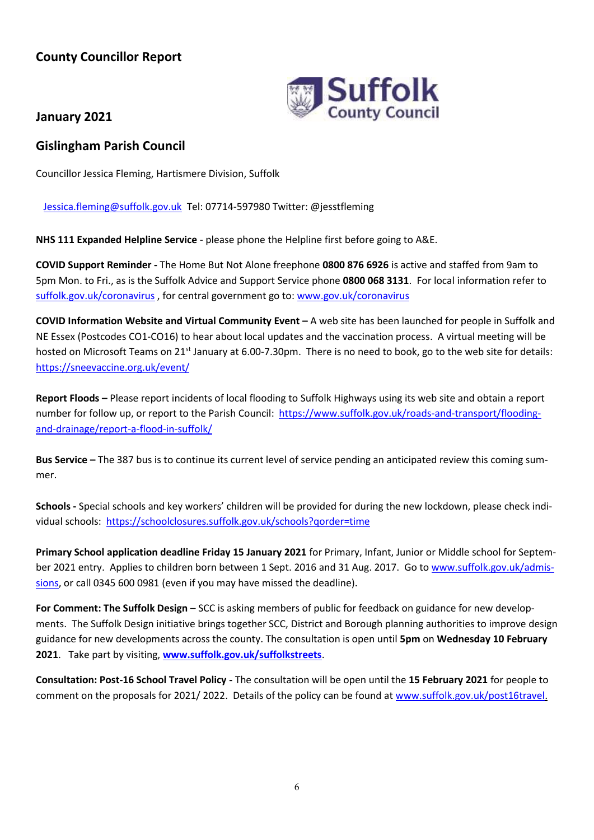# **County Councillor Report**



**January 2021**

# **Gislingham Parish Council**

Councillor Jessica Fleming, Hartismere Division, Suffolk

[Jessica.fleming@suffolk.gov.uk](mailto:Jessica.fleming@suffolk.gov.uk) Tel: 07714-597980 Twitter: @jesstfleming

**NHS 111 Expanded Helpline Service** - please phone the Helpline first before going to A&E.

**COVID Support Reminder -** The Home But Not Alone freephone **0800 876 6926** is active and staffed from 9am to 5pm Mon. to Fri., as is the Suffolk Advice and Support Service phone **0800 068 3131**. For local information refer to [suffolk.gov.uk/coronavirus](https://www.suffolk.gov.uk/coronavirus-covid-19/) , for central government go to[: www.gov.uk/coronavirus](http://www.gov.uk/coronavirus)

**COVID Information Website and Virtual Community Event –** A web site has been launched for people in Suffolk and NE Essex (Postcodes CO1-CO16) to hear about local updates and the vaccination process. A virtual meeting will be hosted on Microsoft Teams on 21<sup>st</sup> January at 6.00-7.30pm. There is no need to book, go to the web site for details: <https://sneevaccine.org.uk/event/>

**Report Floods –** Please report incidents of local flooding to Suffolk Highways using its web site and obtain a report number for follow up, or report to the Parish Council: [https://www.suffolk.gov.uk/roads-and-transport/flooding](https://www.suffolk.gov.uk/roads-and-transport/flooding-and-drainage/report-a-flood-in-suffolk/)[and-drainage/report-a-flood-in-suffolk/](https://www.suffolk.gov.uk/roads-and-transport/flooding-and-drainage/report-a-flood-in-suffolk/)

**Bus Service –** The 387 bus is to continue its current level of service pending an anticipated review this coming summer.

**Schools -** Special schools and key workers' children will be provided for during the new lockdown, please check individual schools: <https://schoolclosures.suffolk.gov.uk/schools?qorder=time>

**Primary School application deadline Friday 15 January 2021** for Primary, Infant, Junior or Middle school for September 2021 entry. Applies to children born between 1 Sept. 2016 and 31 Aug. 2017. Go t[o www.suffolk.gov.uk/admis](http://www.suffolk.gov.uk/admissions)[sions,](http://www.suffolk.gov.uk/admissions) or call 0345 600 0981 (even if you may have missed the deadline).

**For Comment: The Suffolk Design** – SCC is asking members of public for feedback on guidance for new developments. The Suffolk Design initiative brings together SCC, District and Borough planning authorities to improve design guidance for new developments across the county. The consultation is open until **5pm** on **Wednesday 10 February 2021**. Take part by visiting, **[www.suffolk.gov.uk/suffolkstreets](https://www.suffolk.gov.uk/planning-waste-and-environment/planning-and-development-advice/suffolk-design-streets-guide/)**.

**Consultation: Post-16 School Travel Policy -** The consultation will be open until the **15 February 2021** for people to comment on the proposals for 2021/ 2022. Details of the policy can be found a[t www.suffolk.gov.uk/post16travel.](http://www.suffolk.gov.uk/post16travel)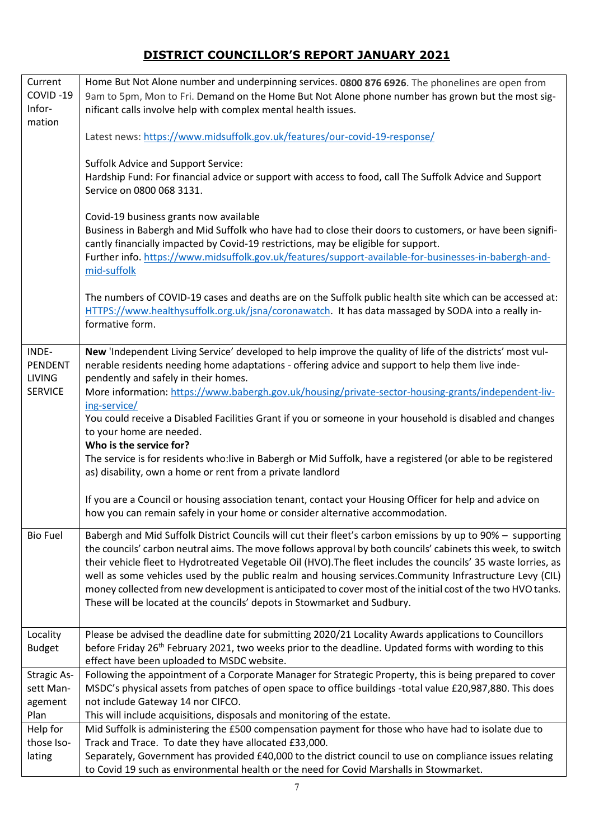# **DISTRICT COUNCILLOR'S REPORT JANUARY 2021**

| Current            | Home But Not Alone number and underpinning services. 0800 876 6926. The phonelines are open from                                                                                                               |  |  |  |  |
|--------------------|----------------------------------------------------------------------------------------------------------------------------------------------------------------------------------------------------------------|--|--|--|--|
| COVID-19           | 9am to 5pm, Mon to Fri. Demand on the Home But Not Alone phone number has grown but the most sig-                                                                                                              |  |  |  |  |
| Infor-             | nificant calls involve help with complex mental health issues.                                                                                                                                                 |  |  |  |  |
| mation             |                                                                                                                                                                                                                |  |  |  |  |
|                    | Latest news: https://www.midsuffolk.gov.uk/features/our-covid-19-response/                                                                                                                                     |  |  |  |  |
|                    |                                                                                                                                                                                                                |  |  |  |  |
|                    | <b>Suffolk Advice and Support Service:</b>                                                                                                                                                                     |  |  |  |  |
|                    | Hardship Fund: For financial advice or support with access to food, call The Suffolk Advice and Support                                                                                                        |  |  |  |  |
|                    | Service on 0800 068 3131.                                                                                                                                                                                      |  |  |  |  |
|                    |                                                                                                                                                                                                                |  |  |  |  |
|                    | Covid-19 business grants now available                                                                                                                                                                         |  |  |  |  |
|                    | Business in Babergh and Mid Suffolk who have had to close their doors to customers, or have been signifi-                                                                                                      |  |  |  |  |
|                    | cantly financially impacted by Covid-19 restrictions, may be eligible for support.                                                                                                                             |  |  |  |  |
|                    | Further info. https://www.midsuffolk.gov.uk/features/support-available-for-businesses-in-babergh-and-                                                                                                          |  |  |  |  |
|                    | mid-suffolk                                                                                                                                                                                                    |  |  |  |  |
|                    |                                                                                                                                                                                                                |  |  |  |  |
|                    | The numbers of COVID-19 cases and deaths are on the Suffolk public health site which can be accessed at:<br>HTTPS://www.healthysuffolk.org.uk/jsna/coronawatch. It has data massaged by SODA into a really in- |  |  |  |  |
|                    | formative form.                                                                                                                                                                                                |  |  |  |  |
|                    |                                                                                                                                                                                                                |  |  |  |  |
| INDE-              | New 'Independent Living Service' developed to help improve the quality of life of the districts' most vul-                                                                                                     |  |  |  |  |
| PENDENT            | nerable residents needing home adaptations - offering advice and support to help them live inde-                                                                                                               |  |  |  |  |
| <b>LIVING</b>      | pendently and safely in their homes.                                                                                                                                                                           |  |  |  |  |
| <b>SERVICE</b>     | More information: https://www.babergh.gov.uk/housing/private-sector-housing-grants/independent-liv-                                                                                                            |  |  |  |  |
|                    | ing-service/                                                                                                                                                                                                   |  |  |  |  |
|                    | You could receive a Disabled Facilities Grant if you or someone in your household is disabled and changes                                                                                                      |  |  |  |  |
|                    | to your home are needed.                                                                                                                                                                                       |  |  |  |  |
|                    | Who is the service for?                                                                                                                                                                                        |  |  |  |  |
|                    | The service is for residents who:live in Babergh or Mid Suffolk, have a registered (or able to be registered                                                                                                   |  |  |  |  |
|                    | as) disability, own a home or rent from a private landlord                                                                                                                                                     |  |  |  |  |
|                    |                                                                                                                                                                                                                |  |  |  |  |
|                    | If you are a Council or housing association tenant, contact your Housing Officer for help and advice on                                                                                                        |  |  |  |  |
|                    | how you can remain safely in your home or consider alternative accommodation.                                                                                                                                  |  |  |  |  |
| <b>Bio Fuel</b>    | Babergh and Mid Suffolk District Councils will cut their fleet's carbon emissions by up to 90% - supporting                                                                                                    |  |  |  |  |
|                    | the councils' carbon neutral aims. The move follows approval by both councils' cabinets this week, to switch                                                                                                   |  |  |  |  |
|                    | their vehicle fleet to Hydrotreated Vegetable Oil (HVO). The fleet includes the councils' 35 waste lorries, as                                                                                                 |  |  |  |  |
|                    | well as some vehicles used by the public realm and housing services. Community Infrastructure Levy (CIL)                                                                                                       |  |  |  |  |
|                    | money collected from new development is anticipated to cover most of the initial cost of the two HVO tanks.                                                                                                    |  |  |  |  |
|                    | These will be located at the councils' depots in Stowmarket and Sudbury.                                                                                                                                       |  |  |  |  |
|                    |                                                                                                                                                                                                                |  |  |  |  |
| Locality           | Please be advised the deadline date for submitting 2020/21 Locality Awards applications to Councillors                                                                                                         |  |  |  |  |
| <b>Budget</b>      | before Friday 26 <sup>th</sup> February 2021, two weeks prior to the deadline. Updated forms with wording to this                                                                                              |  |  |  |  |
|                    | effect have been uploaded to MSDC website.                                                                                                                                                                     |  |  |  |  |
| <b>Stragic As-</b> | Following the appointment of a Corporate Manager for Strategic Property, this is being prepared to cover                                                                                                       |  |  |  |  |
| sett Man-          | MSDC's physical assets from patches of open space to office buildings -total value £20,987,880. This does                                                                                                      |  |  |  |  |
| agement            | not include Gateway 14 nor CIFCO.                                                                                                                                                                              |  |  |  |  |
| Plan               | This will include acquisitions, disposals and monitoring of the estate.                                                                                                                                        |  |  |  |  |
| Help for           | Mid Suffolk is administering the £500 compensation payment for those who have had to isolate due to                                                                                                            |  |  |  |  |
| those Iso-         | Track and Trace. To date they have allocated £33,000.                                                                                                                                                          |  |  |  |  |
| lating             | Separately, Government has provided £40,000 to the district council to use on compliance issues relating                                                                                                       |  |  |  |  |
|                    | to Covid 19 such as environmental health or the need for Covid Marshalls in Stowmarket.                                                                                                                        |  |  |  |  |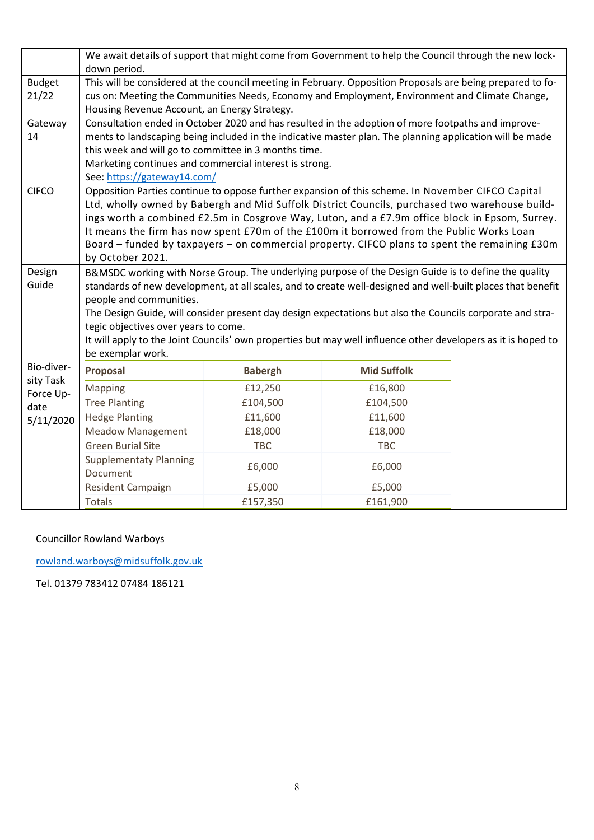|                                                           | We await details of support that might come from Government to help the Council through the new lock-<br>down period.                                                                                                                                                                                                                                                                                                                                                                                                                     |                |                    |  |  |
|-----------------------------------------------------------|-------------------------------------------------------------------------------------------------------------------------------------------------------------------------------------------------------------------------------------------------------------------------------------------------------------------------------------------------------------------------------------------------------------------------------------------------------------------------------------------------------------------------------------------|----------------|--------------------|--|--|
| <b>Budget</b><br>21/22                                    | This will be considered at the council meeting in February. Opposition Proposals are being prepared to fo-<br>cus on: Meeting the Communities Needs, Economy and Employment, Environment and Climate Change,<br>Housing Revenue Account, an Energy Strategy.                                                                                                                                                                                                                                                                              |                |                    |  |  |
| Gateway<br>14                                             | Consultation ended in October 2020 and has resulted in the adoption of more footpaths and improve-<br>ments to landscaping being included in the indicative master plan. The planning application will be made<br>this week and will go to committee in 3 months time.<br>Marketing continues and commercial interest is strong.<br>See: https://gateway14.com/                                                                                                                                                                           |                |                    |  |  |
| <b>CIFCO</b>                                              | Opposition Parties continue to oppose further expansion of this scheme. In November CIFCO Capital<br>Ltd, wholly owned by Babergh and Mid Suffolk District Councils, purchased two warehouse build-<br>ings worth a combined £2.5m in Cosgrove Way, Luton, and a £7.9m office block in Epsom, Surrey.<br>It means the firm has now spent £70m of the £100m it borrowed from the Public Works Loan<br>Board - funded by taxpayers - on commercial property. CIFCO plans to spent the remaining £30m<br>by October 2021.                    |                |                    |  |  |
| Design<br>Guide                                           | B&MSDC working with Norse Group. The underlying purpose of the Design Guide is to define the quality<br>standards of new development, at all scales, and to create well-designed and well-built places that benefit<br>people and communities.<br>The Design Guide, will consider present day design expectations but also the Councils corporate and stra-<br>tegic objectives over years to come.<br>It will apply to the Joint Councils' own properties but may well influence other developers as it is hoped to<br>be exemplar work. |                |                    |  |  |
| Bio-diver-<br>sity Task<br>Force Up-<br>date<br>5/11/2020 | Proposal                                                                                                                                                                                                                                                                                                                                                                                                                                                                                                                                  | <b>Babergh</b> | <b>Mid Suffolk</b> |  |  |
|                                                           | <b>Mapping</b>                                                                                                                                                                                                                                                                                                                                                                                                                                                                                                                            | £12,250        | £16,800            |  |  |
|                                                           | <b>Tree Planting</b>                                                                                                                                                                                                                                                                                                                                                                                                                                                                                                                      | £104,500       | £104,500           |  |  |
|                                                           | <b>Hedge Planting</b>                                                                                                                                                                                                                                                                                                                                                                                                                                                                                                                     | £11,600        | £11,600            |  |  |
|                                                           | <b>Meadow Management</b>                                                                                                                                                                                                                                                                                                                                                                                                                                                                                                                  | £18,000        | £18,000            |  |  |
|                                                           | <b>Green Burial Site</b>                                                                                                                                                                                                                                                                                                                                                                                                                                                                                                                  | <b>TBC</b>     | <b>TBC</b>         |  |  |
|                                                           | <b>Supplementaty Planning</b><br>Document                                                                                                                                                                                                                                                                                                                                                                                                                                                                                                 | £6,000         | £6,000             |  |  |
|                                                           | Resident Campaign                                                                                                                                                                                                                                                                                                                                                                                                                                                                                                                         | £5,000         | £5,000             |  |  |
|                                                           | <b>Totals</b>                                                                                                                                                                                                                                                                                                                                                                                                                                                                                                                             | £157,350       | £161,900           |  |  |

# Councillor Rowland Warboys

[rowland.warboys@midsuffolk.gov.uk](mailto:rowland.warboys@midsuffolk.gov.uk)

Tel. 01379 783412 07484 186121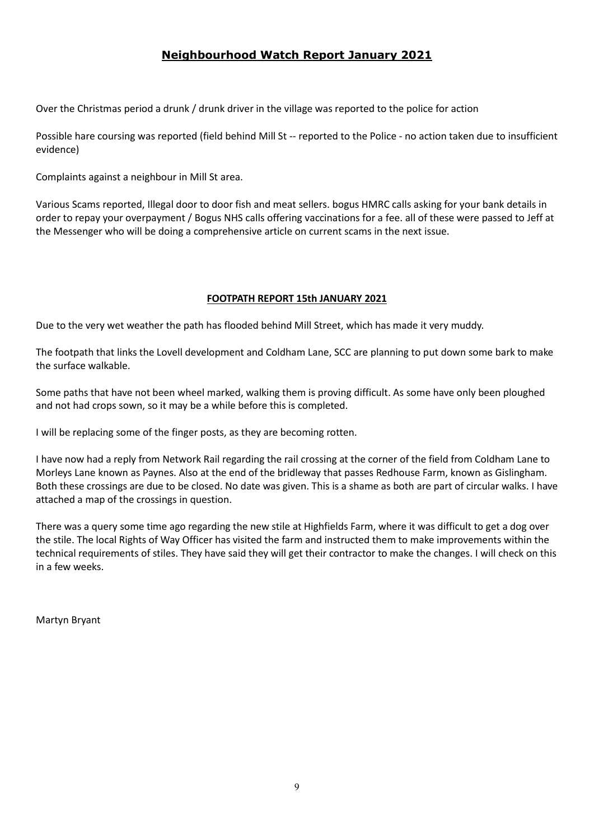# **Neighbourhood Watch Report January 2021**

Over the Christmas period a drunk / drunk driver in the village was reported to the police for action

Possible hare coursing was reported (field behind Mill St -- reported to the Police - no action taken due to insufficient evidence)

Complaints against a neighbour in Mill St area.

Various Scams reported, Illegal door to door fish and meat sellers. bogus HMRC calls asking for your bank details in order to repay your overpayment / Bogus NHS calls offering vaccinations for a fee. all of these were passed to Jeff at the Messenger who will be doing a comprehensive article on current scams in the next issue.

## **FOOTPATH REPORT 15th JANUARY 2021**

Due to the very wet weather the path has flooded behind Mill Street, which has made it very muddy.

The footpath that links the Lovell development and Coldham Lane, SCC are planning to put down some bark to make the surface walkable.

Some paths that have not been wheel marked, walking them is proving difficult. As some have only been ploughed and not had crops sown, so it may be a while before this is completed.

I will be replacing some of the finger posts, as they are becoming rotten.

I have now had a reply from Network Rail regarding the rail crossing at the corner of the field from Coldham Lane to Morleys Lane known as Paynes. Also at the end of the bridleway that passes Redhouse Farm, known as Gislingham. Both these crossings are due to be closed. No date was given. This is a shame as both are part of circular walks. I have attached a map of the crossings in question.

There was a query some time ago regarding the new stile at Highfields Farm, where it was difficult to get a dog over the stile. The local Rights of Way Officer has visited the farm and instructed them to make improvements within the technical requirements of stiles. They have said they will get their contractor to make the changes. I will check on this in a few weeks.

Martyn Bryant